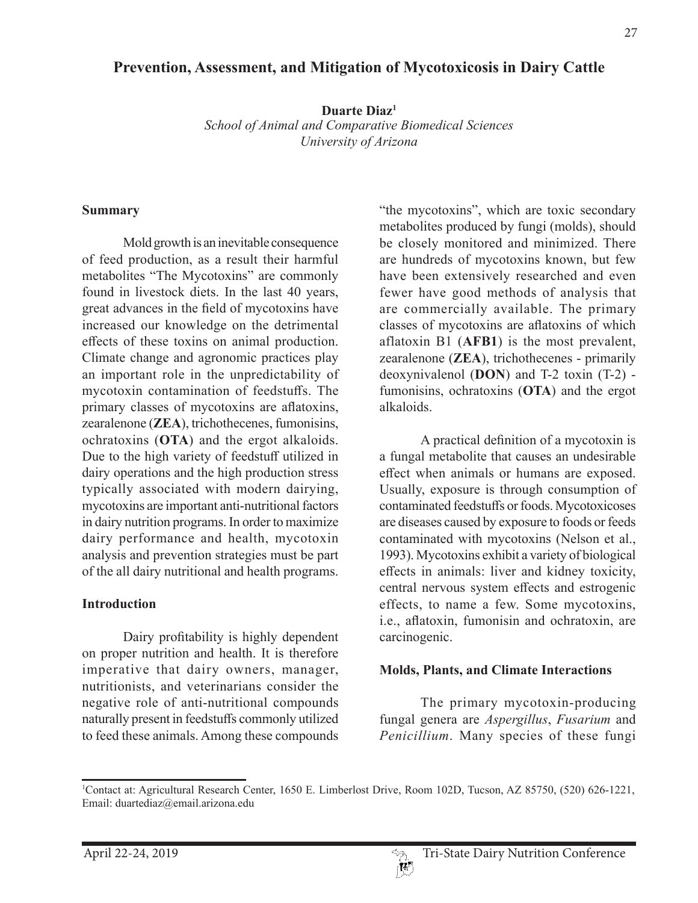# **Prevention, Assessment, and Mitigation of Mycotoxicosis in Dairy Cattle**

**Duarte Diaz1** *School of Animal and Comparative Biomedical Sciences University of Arizona*

#### **Summary**

Mold growth is an inevitable consequence of feed production, as a result their harmful metabolites "The Mycotoxins" are commonly found in livestock diets. In the last 40 years, great advances in the field of mycotoxins have increased our knowledge on the detrimental effects of these toxins on animal production. Climate change and agronomic practices play an important role in the unpredictability of mycotoxin contamination of feedstuffs. The primary classes of mycotoxins are aflatoxins, zearalenone (**ZEA**), trichothecenes, fumonisins, ochratoxins (**OTA**) and the ergot alkaloids. Due to the high variety of feedstuff utilized in dairy operations and the high production stress typically associated with modern dairying, mycotoxins are important anti-nutritional factors in dairy nutrition programs. In order to maximize dairy performance and health, mycotoxin analysis and prevention strategies must be part of the all dairy nutritional and health programs.

### **Introduction**

Dairy profitability is highly dependent on proper nutrition and health. It is therefore imperative that dairy owners, manager, nutritionists, and veterinarians consider the negative role of anti-nutritional compounds naturally present in feedstuffs commonly utilized to feed these animals. Among these compounds "the mycotoxins", which are toxic secondary metabolites produced by fungi (molds), should be closely monitored and minimized. There are hundreds of mycotoxins known, but few have been extensively researched and even fewer have good methods of analysis that are commercially available. The primary classes of mycotoxins are aflatoxins of which aflatoxin B1 (**AFB1**) is the most prevalent, zearalenone (**ZEA**), trichothecenes - primarily deoxynivalenol (**DON**) and T-2 toxin (T-2) fumonisins, ochratoxins (**OTA**) and the ergot alkaloids.

A practical definition of a mycotoxin is a fungal metabolite that causes an undesirable effect when animals or humans are exposed. Usually, exposure is through consumption of contaminated feedstuffs or foods. Mycotoxicoses are diseases caused by exposure to foods or feeds contaminated with mycotoxins (Nelson et al., 1993). Mycotoxins exhibit a variety of biological effects in animals: liver and kidney toxicity, central nervous system effects and estrogenic effects, to name a few. Some mycotoxins, i.e., aflatoxin, fumonisin and ochratoxin, are carcinogenic.

### **Molds, Plants, and Climate Interactions**

The primary mycotoxin-producing fungal genera are *Aspergillus*, *Fusarium* and *Penicillium*. Many species of these fungi

<sup>1</sup> Contact at: Agricultural Research Center, 1650 E. Limberlost Drive, Room 102D, Tucson, AZ 85750, (520) 626-1221, Email: duartediaz@email.arizona.edu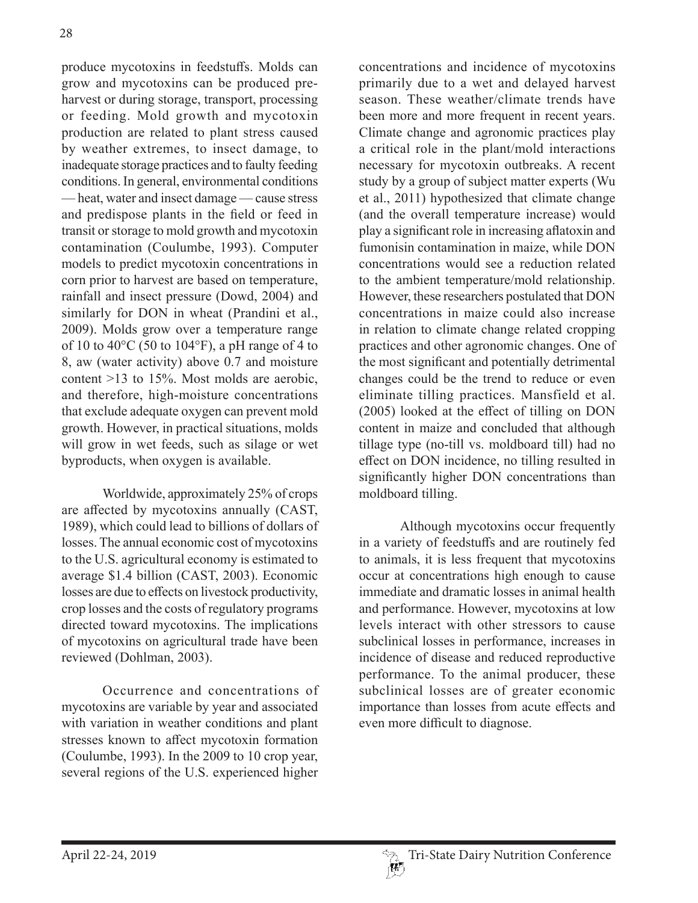produce mycotoxins in feedstuffs. Molds can grow and mycotoxins can be produced preharvest or during storage, transport, processing or feeding. Mold growth and mycotoxin production are related to plant stress caused by weather extremes, to insect damage, to inadequate storage practices and to faulty feeding conditions. In general, environmental conditions — heat, water and insect damage — cause stress and predispose plants in the field or feed in transit or storage to mold growth and mycotoxin contamination (Coulumbe, 1993). Computer models to predict mycotoxin concentrations in corn prior to harvest are based on temperature, rainfall and insect pressure (Dowd, 2004) and similarly for DON in wheat (Prandini et al., 2009). Molds grow over a temperature range of 10 to 40 $\degree$ C (50 to 104 $\degree$ F), a pH range of 4 to 8, aw (water activity) above 0.7 and moisture content >13 to 15%. Most molds are aerobic, and therefore, high-moisture concentrations that exclude adequate oxygen can prevent mold growth. However, in practical situations, molds will grow in wet feeds, such as silage or wet byproducts, when oxygen is available.

Worldwide, approximately 25% of crops are affected by mycotoxins annually (CAST, 1989), which could lead to billions of dollars of losses. The annual economic cost of mycotoxins to the U.S. agricultural economy is estimated to average \$1.4 billion (CAST, 2003). Economic losses are due to effects on livestock productivity, crop losses and the costs of regulatory programs directed toward mycotoxins. The implications of mycotoxins on agricultural trade have been reviewed (Dohlman, 2003).

Occurrence and concentrations of mycotoxins are variable by year and associated with variation in weather conditions and plant stresses known to affect mycotoxin formation (Coulumbe, 1993). In the 2009 to 10 crop year, several regions of the U.S. experienced higher

concentrations and incidence of mycotoxins primarily due to a wet and delayed harvest season. These weather/climate trends have been more and more frequent in recent years. Climate change and agronomic practices play a critical role in the plant/mold interactions necessary for mycotoxin outbreaks. A recent study by a group of subject matter experts (Wu et al., 2011) hypothesized that climate change (and the overall temperature increase) would play a significant role in increasing aflatoxin and fumonisin contamination in maize, while DON concentrations would see a reduction related to the ambient temperature/mold relationship. However, these researchers postulated that DON concentrations in maize could also increase in relation to climate change related cropping practices and other agronomic changes. One of the most significant and potentially detrimental changes could be the trend to reduce or even eliminate tilling practices. Mansfield et al. (2005) looked at the effect of tilling on DON content in maize and concluded that although tillage type (no-till vs. moldboard till) had no effect on DON incidence, no tilling resulted in significantly higher DON concentrations than moldboard tilling.

Although mycotoxins occur frequently in a variety of feedstuffs and are routinely fed to animals, it is less frequent that mycotoxins occur at concentrations high enough to cause immediate and dramatic losses in animal health and performance. However, mycotoxins at low levels interact with other stressors to cause subclinical losses in performance, increases in incidence of disease and reduced reproductive performance. To the animal producer, these subclinical losses are of greater economic importance than losses from acute effects and even more difficult to diagnose.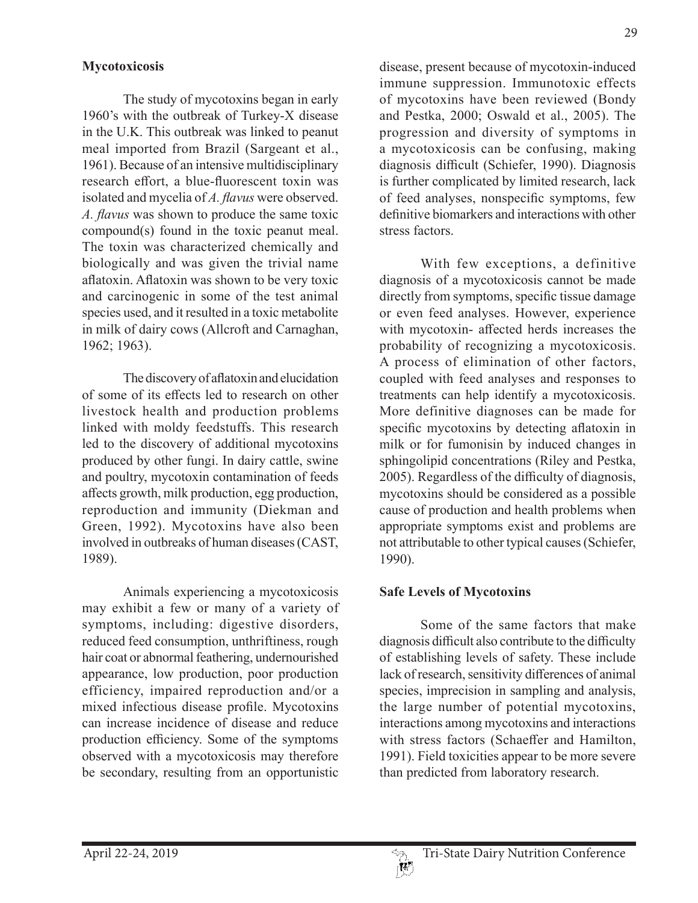## **Mycotoxicosis**

The study of mycotoxins began in early 1960's with the outbreak of Turkey-X disease in the U.K. This outbreak was linked to peanut meal imported from Brazil (Sargeant et al., 1961). Because of an intensive multidisciplinary research effort, a blue-fluorescent toxin was isolated and mycelia of *A. flavus* were observed. *A. flavus* was shown to produce the same toxic compound(s) found in the toxic peanut meal. The toxin was characterized chemically and biologically and was given the trivial name aflatoxin. Aflatoxin was shown to be very toxic and carcinogenic in some of the test animal species used, and it resulted in a toxic metabolite in milk of dairy cows (Allcroft and Carnaghan, 1962; 1963).

The discovery of aflatoxin and elucidation of some of its effects led to research on other livestock health and production problems linked with moldy feedstuffs. This research led to the discovery of additional mycotoxins produced by other fungi. In dairy cattle, swine and poultry, mycotoxin contamination of feeds affects growth, milk production, egg production, reproduction and immunity (Diekman and Green, 1992). Mycotoxins have also been involved in outbreaks of human diseases (CAST, 1989).

Animals experiencing a mycotoxicosis may exhibit a few or many of a variety of symptoms, including: digestive disorders, reduced feed consumption, unthriftiness, rough hair coat or abnormal feathering, undernourished appearance, low production, poor production efficiency, impaired reproduction and/or a mixed infectious disease profile. Mycotoxins can increase incidence of disease and reduce production efficiency. Some of the symptoms observed with a mycotoxicosis may therefore be secondary, resulting from an opportunistic

29

and Pestka, 2000; Oswald et al., 2005). The progression and diversity of symptoms in a mycotoxicosis can be confusing, making diagnosis difficult (Schiefer, 1990). Diagnosis is further complicated by limited research, lack of feed analyses, nonspecific symptoms, few definitive biomarkers and interactions with other stress factors.

With few exceptions, a definitive diagnosis of a mycotoxicosis cannot be made directly from symptoms, specific tissue damage or even feed analyses. However, experience with mycotoxin- affected herds increases the probability of recognizing a mycotoxicosis. A process of elimination of other factors, coupled with feed analyses and responses to treatments can help identify a mycotoxicosis. More definitive diagnoses can be made for specific mycotoxins by detecting aflatoxin in milk or for fumonisin by induced changes in sphingolipid concentrations (Riley and Pestka, 2005). Regardless of the difficulty of diagnosis, mycotoxins should be considered as a possible cause of production and health problems when appropriate symptoms exist and problems are not attributable to other typical causes (Schiefer, 1990).

### **Safe Levels of Mycotoxins**

Some of the same factors that make diagnosis difficult also contribute to the difficulty of establishing levels of safety. These include lack of research, sensitivity differences of animal species, imprecision in sampling and analysis, the large number of potential mycotoxins, interactions among mycotoxins and interactions with stress factors (Schaeffer and Hamilton, 1991). Field toxicities appear to be more severe than predicted from laboratory research.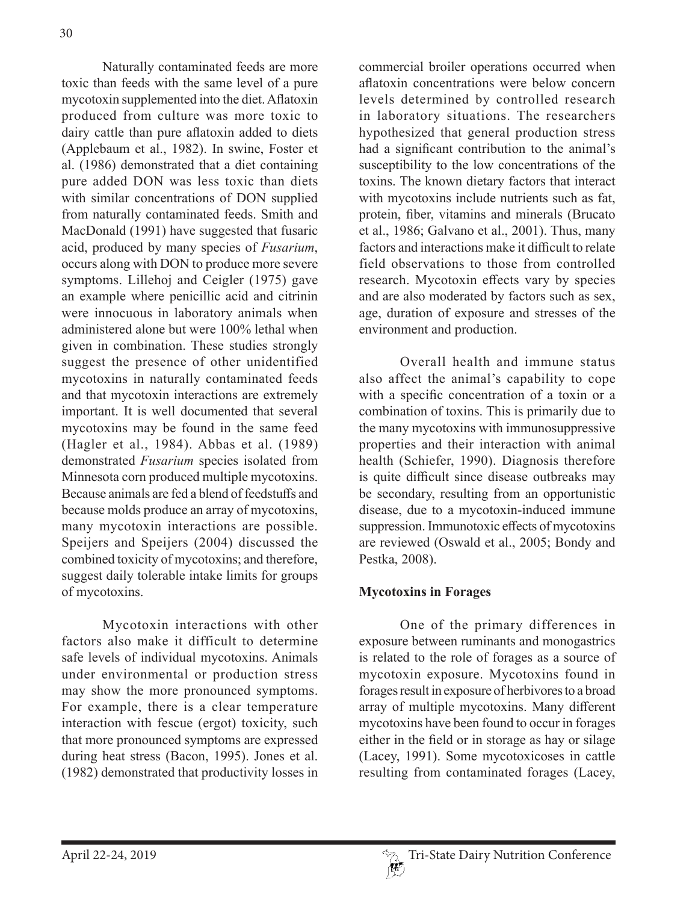Naturally contaminated feeds are more toxic than feeds with the same level of a pure mycotoxin supplemented into the diet. Aflatoxin produced from culture was more toxic to dairy cattle than pure aflatoxin added to diets (Applebaum et al., 1982). In swine, Foster et al. (1986) demonstrated that a diet containing pure added DON was less toxic than diets with similar concentrations of DON supplied from naturally contaminated feeds. Smith and MacDonald (1991) have suggested that fusaric acid, produced by many species of *Fusarium*, occurs along with DON to produce more severe symptoms. Lillehoj and Ceigler (1975) gave an example where penicillic acid and citrinin were innocuous in laboratory animals when administered alone but were 100% lethal when given in combination. These studies strongly suggest the presence of other unidentified mycotoxins in naturally contaminated feeds and that mycotoxin interactions are extremely important. It is well documented that several mycotoxins may be found in the same feed (Hagler et al., 1984). Abbas et al. (1989) demonstrated *Fusarium* species isolated from Minnesota corn produced multiple mycotoxins. Because animals are fed a blend of feedstuffs and because molds produce an array of mycotoxins, many mycotoxin interactions are possible. Speijers and Speijers (2004) discussed the combined toxicity of mycotoxins; and therefore, suggest daily tolerable intake limits for groups of mycotoxins.

Mycotoxin interactions with other factors also make it difficult to determine safe levels of individual mycotoxins. Animals under environmental or production stress may show the more pronounced symptoms. For example, there is a clear temperature interaction with fescue (ergot) toxicity, such that more pronounced symptoms are expressed during heat stress (Bacon, 1995). Jones et al. (1982) demonstrated that productivity losses in commercial broiler operations occurred when aflatoxin concentrations were below concern levels determined by controlled research in laboratory situations. The researchers hypothesized that general production stress had a significant contribution to the animal's susceptibility to the low concentrations of the toxins. The known dietary factors that interact with mycotoxins include nutrients such as fat, protein, fiber, vitamins and minerals (Brucato et al., 1986; Galvano et al., 2001). Thus, many factors and interactions make it difficult to relate field observations to those from controlled research. Mycotoxin effects vary by species and are also moderated by factors such as sex, age, duration of exposure and stresses of the environment and production.

Overall health and immune status also affect the animal's capability to cope with a specific concentration of a toxin or a combination of toxins. This is primarily due to the many mycotoxins with immunosuppressive properties and their interaction with animal health (Schiefer, 1990). Diagnosis therefore is quite difficult since disease outbreaks may be secondary, resulting from an opportunistic disease, due to a mycotoxin-induced immune suppression. Immunotoxic effects of mycotoxins are reviewed (Oswald et al., 2005; Bondy and Pestka, 2008).

## **Mycotoxins in Forages**

One of the primary differences in exposure between ruminants and monogastrics is related to the role of forages as a source of mycotoxin exposure. Mycotoxins found in forages result in exposure of herbivores to a broad array of multiple mycotoxins. Many different mycotoxins have been found to occur in forages either in the field or in storage as hay or silage (Lacey, 1991). Some mycotoxicoses in cattle resulting from contaminated forages (Lacey,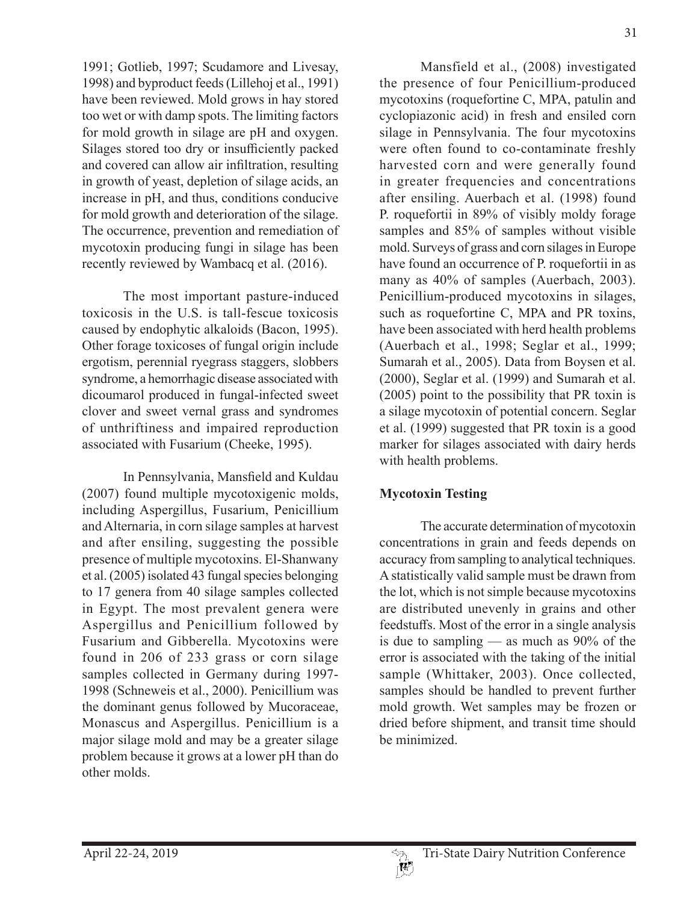1991; Gotlieb, 1997; Scudamore and Livesay, 1998) and byproduct feeds (Lillehoj et al., 1991) have been reviewed. Mold grows in hay stored too wet or with damp spots. The limiting factors for mold growth in silage are pH and oxygen. Silages stored too dry or insufficiently packed and covered can allow air infiltration, resulting in growth of yeast, depletion of silage acids, an increase in pH, and thus, conditions conducive for mold growth and deterioration of the silage. The occurrence, prevention and remediation of mycotoxin producing fungi in silage has been recently reviewed by Wambacq et al. (2016).

The most important pasture-induced toxicosis in the U.S. is tall-fescue toxicosis caused by endophytic alkaloids (Bacon, 1995). Other forage toxicoses of fungal origin include ergotism, perennial ryegrass staggers, slobbers syndrome, a hemorrhagic disease associated with dicoumarol produced in fungal-infected sweet clover and sweet vernal grass and syndromes of unthriftiness and impaired reproduction associated with Fusarium (Cheeke, 1995).

In Pennsylvania, Mansfield and Kuldau (2007) found multiple mycotoxigenic molds, including Aspergillus, Fusarium, Penicillium and Alternaria, in corn silage samples at harvest and after ensiling, suggesting the possible presence of multiple mycotoxins. El-Shanwany et al. (2005) isolated 43 fungal species belonging to 17 genera from 40 silage samples collected in Egypt. The most prevalent genera were Aspergillus and Penicillium followed by Fusarium and Gibberella. Mycotoxins were found in 206 of 233 grass or corn silage samples collected in Germany during 1997- 1998 (Schneweis et al., 2000). Penicillium was the dominant genus followed by Mucoraceae, Monascus and Aspergillus. Penicillium is a major silage mold and may be a greater silage problem because it grows at a lower pH than do other molds.

Mansfield et al., (2008) investigated the presence of four Penicillium-produced mycotoxins (roquefortine C, MPA, patulin and cyclopiazonic acid) in fresh and ensiled corn silage in Pennsylvania. The four mycotoxins were often found to co-contaminate freshly harvested corn and were generally found in greater frequencies and concentrations after ensiling. Auerbach et al. (1998) found P. roquefortii in 89% of visibly moldy forage samples and 85% of samples without visible mold. Surveys of grass and corn silages in Europe have found an occurrence of P. roquefortii in as many as 40% of samples (Auerbach, 2003). Penicillium-produced mycotoxins in silages, such as roquefortine C, MPA and PR toxins, have been associated with herd health problems (Auerbach et al., 1998; Seglar et al., 1999; Sumarah et al., 2005). Data from Boysen et al. (2000), Seglar et al. (1999) and Sumarah et al. (2005) point to the possibility that PR toxin is a silage mycotoxin of potential concern. Seglar et al. (1999) suggested that PR toxin is a good marker for silages associated with dairy herds with health problems.

# **Mycotoxin Testing**

The accurate determination of mycotoxin concentrations in grain and feeds depends on accuracy from sampling to analytical techniques. A statistically valid sample must be drawn from the lot, which is not simple because mycotoxins are distributed unevenly in grains and other feedstuffs. Most of the error in a single analysis is due to sampling — as much as 90% of the error is associated with the taking of the initial sample (Whittaker, 2003). Once collected, samples should be handled to prevent further mold growth. Wet samples may be frozen or dried before shipment, and transit time should be minimized.

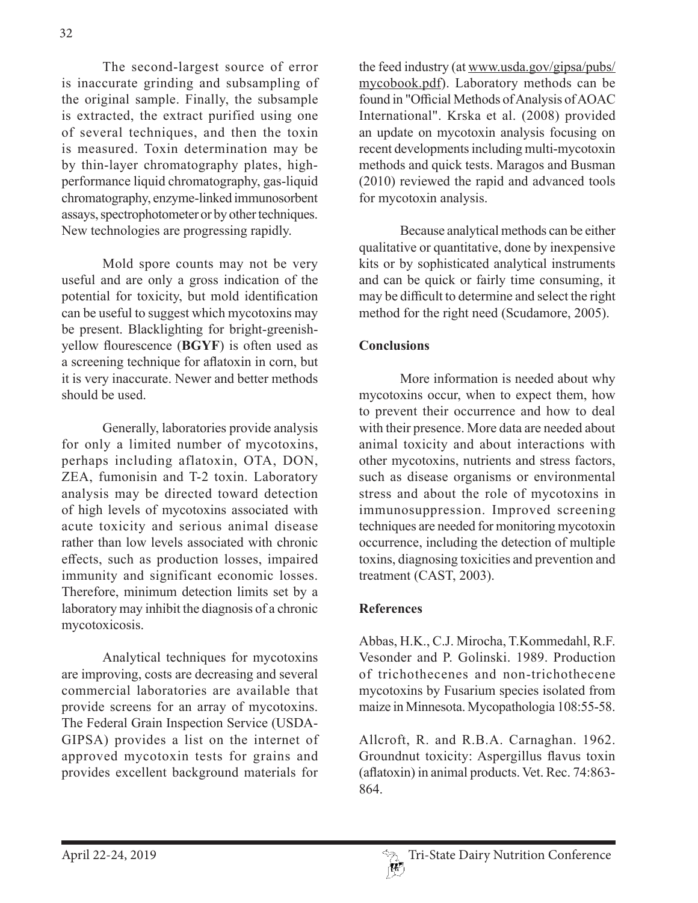The second-largest source of error is inaccurate grinding and subsampling of the original sample. Finally, the subsample is extracted, the extract purified using one of several techniques, and then the toxin is measured. Toxin determination may be by thin-layer chromatography plates, highperformance liquid chromatography, gas-liquid chromatography, enzyme-linked immunosorbent assays, spectrophotometer or by other techniques. New technologies are progressing rapidly.

Mold spore counts may not be very useful and are only a gross indication of the potential for toxicity, but mold identification can be useful to suggest which mycotoxins may be present. Blacklighting for bright-greenishyellow flourescence (**BGYF**) is often used as a screening technique for aflatoxin in corn, but it is very inaccurate. Newer and better methods should be used.

Generally, laboratories provide analysis for only a limited number of mycotoxins, perhaps including aflatoxin, OTA, DON, ZEA, fumonisin and T-2 toxin. Laboratory analysis may be directed toward detection of high levels of mycotoxins associated with acute toxicity and serious animal disease rather than low levels associated with chronic effects, such as production losses, impaired immunity and significant economic losses. Therefore, minimum detection limits set by a laboratory may inhibit the diagnosis of a chronic mycotoxicosis.

Analytical techniques for mycotoxins are improving, costs are decreasing and several commercial laboratories are available that provide screens for an array of mycotoxins. The Federal Grain Inspection Service (USDA-GIPSA) provides a list on the internet of approved mycotoxin tests for grains and provides excellent background materials for

the feed industry (at www.usda.gov/gipsa/pubs/ mycobook.pdf). Laboratory methods can be found in "Official Methods of Analysis of AOAC International". Krska et al. (2008) provided an update on mycotoxin analysis focusing on recent developments including multi-mycotoxin methods and quick tests. Maragos and Busman (2010) reviewed the rapid and advanced tools for mycotoxin analysis.

Because analytical methods can be either qualitative or quantitative, done by inexpensive kits or by sophisticated analytical instruments and can be quick or fairly time consuming, it may be difficult to determine and select the right method for the right need (Scudamore, 2005).

## **Conclusions**

More information is needed about why mycotoxins occur, when to expect them, how to prevent their occurrence and how to deal with their presence. More data are needed about animal toxicity and about interactions with other mycotoxins, nutrients and stress factors, such as disease organisms or environmental stress and about the role of mycotoxins in immunosuppression. Improved screening techniques are needed for monitoring mycotoxin occurrence, including the detection of multiple toxins, diagnosing toxicities and prevention and treatment (CAST, 2003).

### **References**

Abbas, H.K., C.J. Mirocha, T.Kommedahl, R.F. Vesonder and P. Golinski. 1989. Production of trichothecenes and non-trichothecene mycotoxins by Fusarium species isolated from maize in Minnesota. Mycopathologia 108:55-58.

Allcroft, R. and R.B.A. Carnaghan. 1962. Groundnut toxicity: Aspergillus flavus toxin (aflatoxin) in animal products. Vet. Rec. 74:863- 864.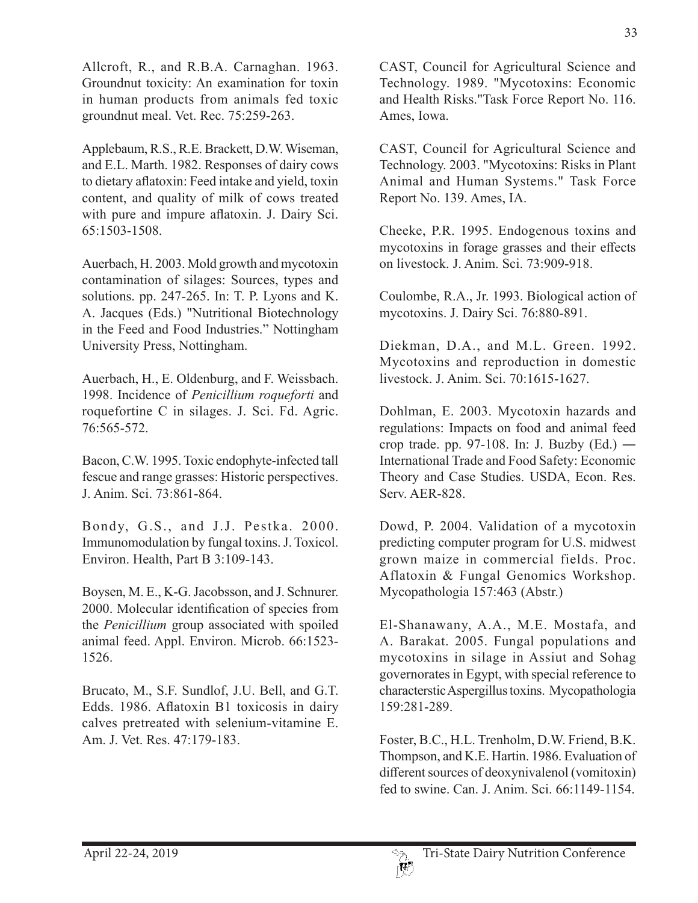Allcroft, R., and R.B.A. Carnaghan. 1963. Groundnut toxicity: An examination for toxin in human products from animals fed toxic groundnut meal. Vet. Rec. 75:259-263.

Applebaum, R.S., R.E. Brackett, D.W. Wiseman, and E.L. Marth. 1982. Responses of dairy cows to dietary aflatoxin: Feed intake and yield, toxin content, and quality of milk of cows treated with pure and impure aflatoxin. J. Dairy Sci. 65:1503-1508.

Auerbach, H. 2003. Mold growth and mycotoxin contamination of silages: Sources, types and solutions. pp. 247-265. In: T. P. Lyons and K. A. Jacques (Eds.) "Nutritional Biotechnology in the Feed and Food Industries." Nottingham University Press, Nottingham.

Auerbach, H., E. Oldenburg, and F. Weissbach. 1998. Incidence of *Penicillium roqueforti* and roquefortine C in silages. J. Sci. Fd. Agric. 76:565-572.

Bacon, C.W. 1995. Toxic endophyte-infected tall fescue and range grasses: Historic perspectives. J. Anim. Sci. 73:861-864.

Bondy, G.S., and J.J. Pestka. 2000. Immunomodulation by fungal toxins. J. Toxicol. Environ. Health, Part B 3:109-143.

Boysen, M. E., K-G. Jacobsson, and J. Schnurer. 2000. Molecular identification of species from the *Penicillium* group associated with spoiled animal feed. Appl. Environ. Microb. 66:1523- 1526.

Brucato, M., S.F. Sundlof, J.U. Bell, and G.T. Edds. 1986. Aflatoxin B1 toxicosis in dairy calves pretreated with selenium-vitamine E. Am. J. Vet. Res. 47:179-183.

CAST, Council for Agricultural Science and Technology. 1989. "Mycotoxins: Economic and Health Risks."Task Force Report No. 116. Ames, Iowa.

CAST, Council for Agricultural Science and Technology. 2003. "Mycotoxins: Risks in Plant Animal and Human Systems." Task Force Report No. 139. Ames, IA.

Cheeke, P.R. 1995. Endogenous toxins and mycotoxins in forage grasses and their effects on livestock. J. Anim. Sci. 73:909-918.

Coulombe, R.A., Jr. 1993. Biological action of mycotoxins. J. Dairy Sci. 76:880-891.

Diekman, D.A., and M.L. Green. 1992. Mycotoxins and reproduction in domestic livestock. J. Anim. Sci. 70:1615-1627.

Dohlman, E. 2003. Mycotoxin hazards and regulations: Impacts on food and animal feed crop trade. pp. 97-108. In: J. Buzby (Ed.) ― International Trade and Food Safety: Economic Theory and Case Studies. USDA, Econ. Res. Serv. AER-828.

Dowd, P. 2004. Validation of a mycotoxin predicting computer program for U.S. midwest grown maize in commercial fields. Proc. Aflatoxin & Fungal Genomics Workshop. Mycopathologia 157:463 (Abstr.)

El-Shanawany, A.A., M.E. Mostafa, and A. Barakat. 2005. Fungal populations and mycotoxins in silage in Assiut and Sohag governorates in Egypt, with special reference to characterstic Aspergillus toxins. Mycopathologia 159:281-289.

Foster, B.C., H.L. Trenholm, D.W. Friend, B.K. Thompson, and K.E. Hartin. 1986. Evaluation of different sources of deoxynivalenol (vomitoxin) fed to swine. Can. J. Anim. Sci. 66:1149-1154.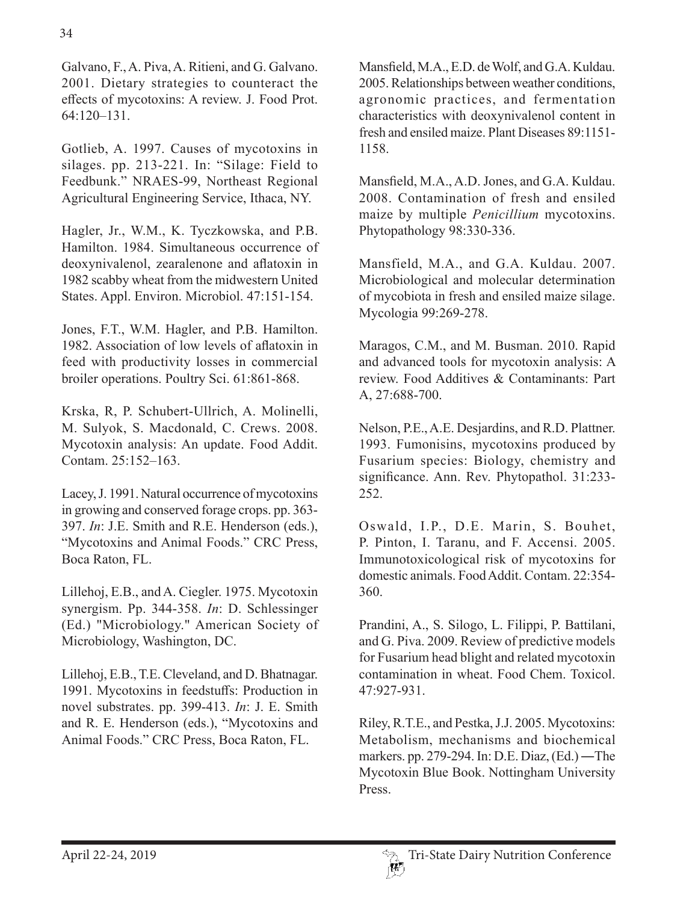Galvano, F., A. Piva, A. Ritieni, and G. Galvano. 2001. Dietary strategies to counteract the effects of mycotoxins: A review. J. Food Prot. 64:120–131.

Gotlieb, A. 1997. Causes of mycotoxins in silages. pp. 213-221. In: "Silage: Field to Feedbunk." NRAES-99, Northeast Regional Agricultural Engineering Service, Ithaca, NY.

Hagler, Jr., W.M., K. Tyczkowska, and P.B. Hamilton. 1984. Simultaneous occurrence of deoxynivalenol, zearalenone and aflatoxin in 1982 scabby wheat from the midwestern United States. Appl. Environ. Microbiol. 47:151-154.

Jones, F.T., W.M. Hagler, and P.B. Hamilton. 1982. Association of low levels of aflatoxin in feed with productivity losses in commercial broiler operations. Poultry Sci. 61:861-868.

Krska, R, P. Schubert-Ullrich, A. Molinelli, M. Sulyok, S. Macdonald, C. Crews. 2008. Mycotoxin analysis: An update. Food Addit. Contam. 25:152–163.

Lacey, J. 1991. Natural occurrence of mycotoxins in growing and conserved forage crops. pp. 363- 397. *In*: J.E. Smith and R.E. Henderson (eds.), "Mycotoxins and Animal Foods." CRC Press, Boca Raton, FL.

Lillehoj, E.B., and A. Ciegler. 1975. Mycotoxin synergism. Pp. 344-358. *In*: D. Schlessinger (Ed.) "Microbiology." American Society of Microbiology, Washington, DC.

Lillehoj, E.B., T.E. Cleveland, and D. Bhatnagar. 1991. Mycotoxins in feedstuffs: Production in novel substrates. pp. 399-413. *In*: J. E. Smith and R. E. Henderson (eds.), "Mycotoxins and Animal Foods." CRC Press, Boca Raton, FL.

Mansfield, M.A., E.D. de Wolf, and G.A. Kuldau. 2005. Relationships between weather conditions, agronomic practices, and fermentation characteristics with deoxynivalenol content in fresh and ensiled maize. Plant Diseases 89:1151- 1158.

Mansfield, M.A., A.D. Jones, and G.A. Kuldau. 2008. Contamination of fresh and ensiled maize by multiple *Penicillium* mycotoxins. Phytopathology 98:330-336.

Mansfield, M.A., and G.A. Kuldau. 2007. Microbiological and molecular determination of mycobiota in fresh and ensiled maize silage. Mycologia 99:269-278.

Maragos, C.M., and M. Busman. 2010. Rapid and advanced tools for mycotoxin analysis: A review. Food Additives & Contaminants: Part A, 27:688-700.

Nelson, P.E., A.E. Desjardins, and R.D. Plattner. 1993. Fumonisins, mycotoxins produced by Fusarium species: Biology, chemistry and significance. Ann. Rev. Phytopathol. 31:233- 252.

Oswald, I.P., D.E. Marin, S. Bouhet, P. Pinton, I. Taranu, and F. Accensi. 2005. Immunotoxicological risk of mycotoxins for domestic animals. Food Addit. Contam. 22:354- 360.

Prandini, A., S. Silogo, L. Filippi, P. Battilani, and G. Piva. 2009. Review of predictive models for Fusarium head blight and related mycotoxin contamination in wheat. Food Chem. Toxicol. 47:927-931.

Riley, R.T.E., and Pestka, J.J. 2005. Mycotoxins: Metabolism, mechanisms and biochemical markers. pp. 279-294. In: D.E. Diaz, (Ed.) ―The Mycotoxin Blue Book. Nottingham University Press.